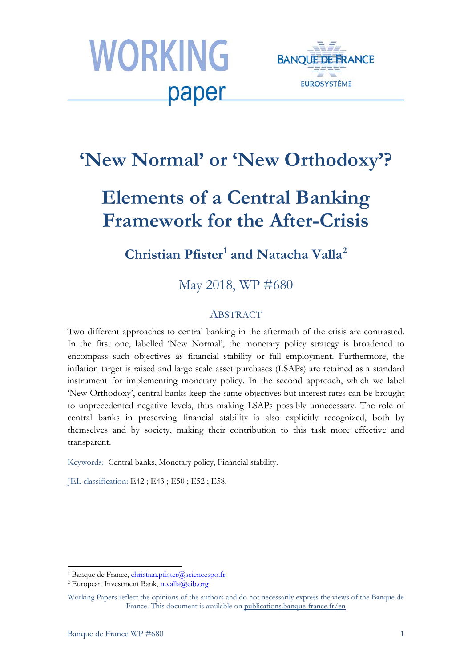



# **'New Normal' or 'New Orthodoxy'?**

# **Elements of a Central Banking Framework for the After-Crisis**

## **Christian Pfister[1](#page-0-0) and Natacha Valla[2](#page-0-1)**

May 2018, WP #680

### ABSTRACT

Two different approaches to central banking in the aftermath of the crisis are contrasted. In the first one, labelled 'New Normal', the monetary policy strategy is broadened to encompass such objectives as financial stability or full employment. Furthermore, the inflation target is raised and large scale asset purchases (LSAPs) are retained as a standard instrument for implementing monetary policy. In the second approach, which we label 'New Orthodoxy', central banks keep the same objectives but interest rates can be brought to unprecedented negative levels, thus making LSAPs possibly unnecessary. The role of central banks in preserving financial stability is also explicitly recognized, both by themselves and by society, making their contribution to this task more effective and transparent.

Keywords: Central banks, Monetary policy, Financial stability.

JEL classification: E42 ; E43 ; E50 ; E52 ; E58.

<span id="page-0-0"></span><sup>&</sup>lt;sup>1</sup> Banque de France, *christian.pfister@sciencespo.fr.* 

<span id="page-0-1"></span><sup>&</sup>lt;sup>2</sup> European Investment Bank, [n.valla@eib.org](mailto:n.valla@eib.org)

Working Papers reflect the opinions of the authors and do not necessarily express the views of the Banque de France. This document is available on [publications.banque-france.fr/en](https://publications.banque-france.fr/en)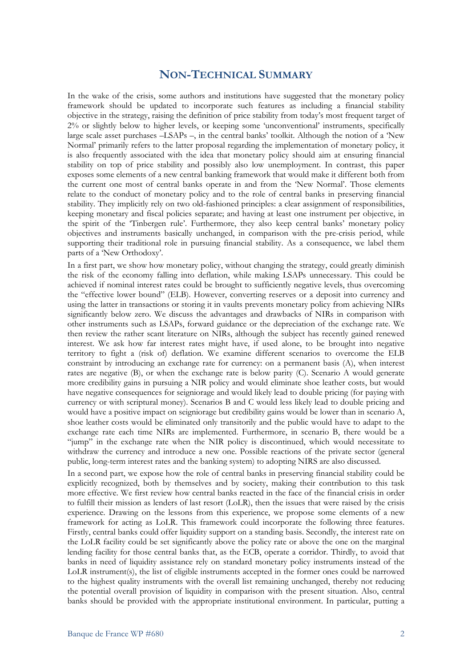#### **NON-TECHNICAL SUMMARY**

In the wake of the crisis, some authors and institutions have suggested that the monetary policy framework should be updated to incorporate such features as including a financial stability objective in the strategy, raising the definition of price stability from today's most frequent target of 2% or slightly below to higher levels, or keeping some 'unconventional' instruments, specifically large scale asset purchases –LSAPs –, in the central banks' toolkit. Although the notion of a 'New Normal' primarily refers to the latter proposal regarding the implementation of monetary policy, it is also frequently associated with the idea that monetary policy should aim at ensuring financial stability on top of price stability and possibly also low unemployment. In contrast, this paper exposes some elements of a new central banking framework that would make it different both from the current one most of central banks operate in and from the 'New Normal'. Those elements relate to the conduct of monetary policy and to the role of central banks in preserving financial stability. They implicitly rely on two old-fashioned principles: a clear assignment of responsibilities, keeping monetary and fiscal policies separate; and having at least one instrument per objective, in the spirit of the 'Tinbergen rule'. Furthermore, they also keep central banks' monetary policy objectives and instruments basically unchanged, in comparison with the pre-crisis period, while supporting their traditional role in pursuing financial stability. As a consequence, we label them parts of a 'New Orthodoxy'.

In a first part, we show how monetary policy, without changing the strategy, could greatly diminish the risk of the economy falling into deflation, while making LSAPs unnecessary. This could be achieved if nominal interest rates could be brought to sufficiently negative levels, thus overcoming the "effective lower bound" (ELB). However, converting reserves or a deposit into currency and using the latter in transactions or storing it in vaults prevents monetary policy from achieving NIRs significantly below zero. We discuss the advantages and drawbacks of NIRs in comparison with other instruments such as LSAPs, forward guidance or the depreciation of the exchange rate. We then review the rather scant literature on NIRs, although the subject has recently gained renewed interest. We ask how far interest rates might have, if used alone, to be brought into negative territory to fight a (risk of) deflation. We examine different scenarios to overcome the ELB constraint by introducing an exchange rate for currency: on a permanent basis (A), when interest rates are negative (B), or when the exchange rate is below parity (C). Scenario A would generate more credibility gains in pursuing a NIR policy and would eliminate shoe leather costs, but would have negative consequences for seigniorage and would likely lead to double pricing (for paying with currency or with scriptural money). Scenarios B and C would less likely lead to double pricing and would have a positive impact on seigniorage but credibility gains would be lower than in scenario A, shoe leather costs would be eliminated only transitorily and the public would have to adapt to the exchange rate each time NIRs are implemented. Furthermore, in scenario B, there would be a "jump" in the exchange rate when the NIR policy is discontinued, which would necessitate to withdraw the currency and introduce a new one. Possible reactions of the private sector (general public, long-term interest rates and the banking system) to adopting NIRS are also discussed.

In a second part, we expose how the role of central banks in preserving financial stability could be explicitly recognized, both by themselves and by society, making their contribution to this task more effective. We first review how central banks reacted in the face of the financial crisis in order to fulfill their mission as lenders of last resort (LoLR), then the issues that were raised by the crisis experience. Drawing on the lessons from this experience, we propose some elements of a new framework for acting as LoLR. This framework could incorporate the following three features. Firstly, central banks could offer liquidity support on a standing basis. Secondly, the interest rate on the LoLR facility could be set significantly above the policy rate or above the one on the marginal lending facility for those central banks that, as the ECB, operate a corridor. Thirdly, to avoid that banks in need of liquidity assistance rely on standard monetary policy instruments instead of the LoLR instrument(s), the list of eligible instruments accepted in the former ones could be narrowed to the highest quality instruments with the overall list remaining unchanged, thereby not reducing the potential overall provision of liquidity in comparison with the present situation. Also, central banks should be provided with the appropriate institutional environment. In particular, putting a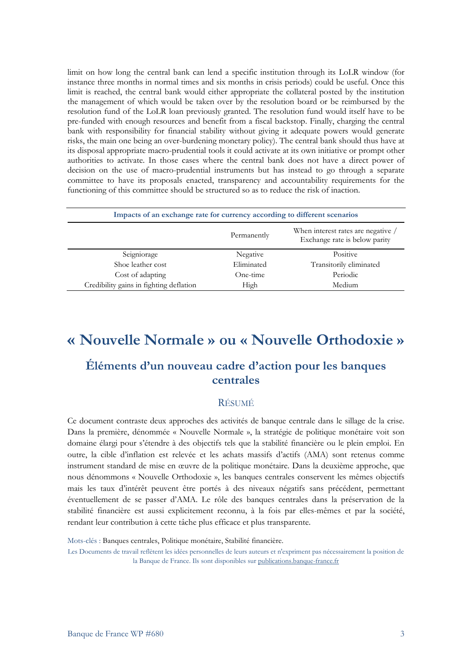limit on how long the central bank can lend a specific institution through its LoLR window (for instance three months in normal times and six months in crisis periods) could be useful. Once this limit is reached, the central bank would either appropriate the collateral posted by the institution the management of which would be taken over by the resolution board or be reimbursed by the resolution fund of the LoLR loan previously granted. The resolution fund would itself have to be pre-funded with enough resources and benefit from a fiscal backstop. Finally, charging the central bank with responsibility for financial stability without giving it adequate powers would generate risks, the main one being an over-burdening monetary policy). The central bank should thus have at its disposal appropriate macro-prudential tools it could activate at its own initiative or prompt other authorities to activate. In those cases where the central bank does not have a direct power of decision on the use of macro-prudential instruments but has instead to go through a separate committee to have its proposals enacted, transparency and accountability requirements for the functioning of this committee should be structured so as to reduce the risk of inaction.

| Impacts of an exchange rate for currency according to different scenarios |             |                                                                     |  |  |
|---------------------------------------------------------------------------|-------------|---------------------------------------------------------------------|--|--|
|                                                                           | Permanently | When interest rates are negative /<br>Exchange rate is below parity |  |  |
| Seigniorage                                                               | Negative    | Positive                                                            |  |  |
| Shoe leather cost                                                         | Eliminated  | Transitorily eliminated                                             |  |  |
| Cost of adapting                                                          | One-time    | Periodic                                                            |  |  |
| Credibility gains in fighting deflation                                   | High        | Medium                                                              |  |  |

## **« Nouvelle Normale » ou « Nouvelle Orthodoxie »**

### **Éléments d'un nouveau cadre d'action pour les banques centrales**

#### RÉSUMÉ

Ce document contraste deux approches des activités de banque centrale dans le sillage de la crise. Dans la première, dénommée « Nouvelle Normale », la stratégie de politique monétaire voit son domaine élargi pour s'étendre à des objectifs tels que la stabilité financière ou le plein emploi. En outre, la cible d'inflation est relevée et les achats massifs d'actifs (AMA) sont retenus comme instrument standard de mise en œuvre de la politique monétaire. Dans la deuxième approche, que nous dénommons « Nouvelle Orthodoxie », les banques centrales conservent les mêmes objectifs mais les taux d'intérêt peuvent être portés à des niveaux négatifs sans précédent, permettant éventuellement de se passer d'AMA. Le rôle des banques centrales dans la préservation de la stabilité financière est aussi explicitement reconnu, à la fois par elles-mêmes et par la société, rendant leur contribution à cette tâche plus efficace et plus transparente.

Mots-clés : Banques centrales, Politique monétaire, Stabilité financière.

Les Documents de travail reflètent les idées personnelles de leurs auteurs et n'expriment pas nécessairement la position de la Banque de France. Ils sont disponibles su[r publications.banque-france.fr](https://publications.banque-france.fr/)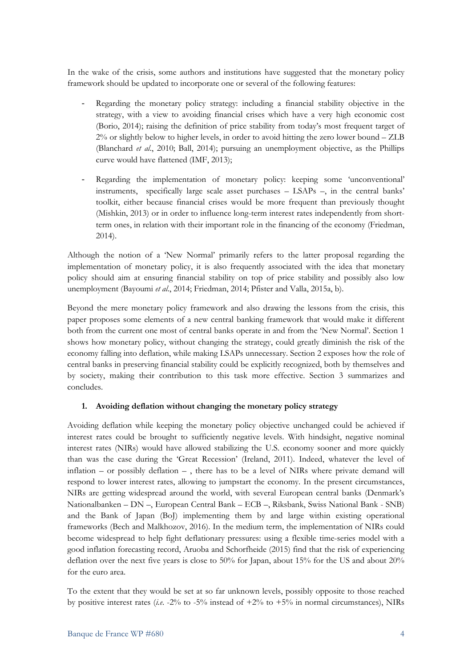In the wake of the crisis, some authors and institutions have suggested that the monetary policy framework should be updated to incorporate one or several of the following features:

- Regarding the monetary policy strategy: including a financial stability objective in the strategy, with a view to avoiding financial crises which have a very high economic cost (Borio, 2014); raising the definition of price stability from today's most frequent target of 2% or slightly below to higher levels, in order to avoid hitting the zero lower bound – ZLB (Blanchard *et al*., 2010; Ball, 2014); pursuing an unemployment objective, as the Phillips curve would have flattened (IMF, 2013);
- Regarding the implementation of monetary policy: keeping some 'unconventional' instruments, specifically large scale asset purchases – LSAPs –, in the central banks' toolkit, either because financial crises would be more frequent than previously thought (Mishkin, 2013) or in order to influence long-term interest rates independently from shortterm ones, in relation with their important role in the financing of the economy (Friedman, 2014).

Although the notion of a 'New Normal' primarily refers to the latter proposal regarding the implementation of monetary policy, it is also frequently associated with the idea that monetary policy should aim at ensuring financial stability on top of price stability and possibly also low unemployment (Bayoumi *et al*., 2014; Friedman, 2014; Pfister and Valla, 2015a, b).

Beyond the mere monetary policy framework and also drawing the lessons from the crisis, this paper proposes some elements of a new central banking framework that would make it different both from the current one most of central banks operate in and from the 'New Normal'. Section 1 shows how monetary policy, without changing the strategy, could greatly diminish the risk of the economy falling into deflation, while making LSAPs unnecessary. Section 2 exposes how the role of central banks in preserving financial stability could be explicitly recognized, both by themselves and by society, making their contribution to this task more effective. Section 3 summarizes and concludes.

#### **1. Avoiding deflation without changing the monetary policy strategy**

Avoiding deflation while keeping the monetary policy objective unchanged could be achieved if interest rates could be brought to sufficiently negative levels. With hindsight, negative nominal interest rates (NIRs) would have allowed stabilizing the U.S. economy sooner and more quickly than was the case during the 'Great Recession' (Ireland, 2011). Indeed, whatever the level of inflation – or possibly deflation –, there has to be a level of NIRs where private demand will respond to lower interest rates, allowing to jumpstart the economy. In the present circumstances, NIRs are getting widespread around the world, with several European central banks (Denmark's Nationalbanken – DN –, European Central Bank – ECB –, Riksbank, Swiss National Bank - SNB) and the Bank of Japan (BoJ) implementing them by and large within existing operational frameworks (Bech and Malkhozov, 2016). In the medium term, the implementation of NIRs could become widespread to help fight deflationary pressures: using a flexible time-series model with a good inflation forecasting record, Aruoba and Schorfheide (2015) find that the risk of experiencing deflation over the next five years is close to 50% for Japan, about 15% for the US and about 20% for the euro area.

To the extent that they would be set at so far unknown levels, possibly opposite to those reached by positive interest rates (*i.e*. -2% to -5% instead of +2% to +5% in normal circumstances), NIRs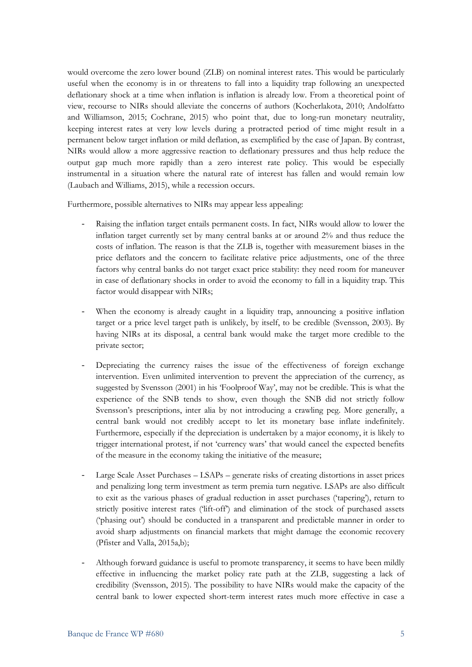would overcome the zero lower bound (ZLB) on nominal interest rates. This would be particularly useful when the economy is in or threatens to fall into a liquidity trap following an unexpected deflationary shock at a time when inflation is inflation is already low. From a theoretical point of view, recourse to NIRs should alleviate the concerns of authors (Kocherlakota, 2010; Andolfatto and Williamson, 2015; Cochrane, 2015) who point that, due to long-run monetary neutrality, keeping interest rates at very low levels during a protracted period of time might result in a permanent below target inflation or mild deflation, as exemplified by the case of Japan. By contrast, NIRs would allow a more aggressive reaction to deflationary pressures and thus help reduce the output gap much more rapidly than a zero interest rate policy. This would be especially instrumental in a situation where the natural rate of interest has fallen and would remain low (Laubach and Williams, 2015), while a recession occurs.

Furthermore, possible alternatives to NIRs may appear less appealing:

- Raising the inflation target entails permanent costs. In fact, NIRs would allow to lower the inflation target currently set by many central banks at or around 2% and thus reduce the costs of inflation. The reason is that the ZLB is, together with measurement biases in the price deflators and the concern to facilitate relative price adjustments, one of the three factors why central banks do not target exact price stability: they need room for maneuver in case of deflationary shocks in order to avoid the economy to fall in a liquidity trap. This factor would disappear with NIRs;
- When the economy is already caught in a liquidity trap, announcing a positive inflation target or a price level target path is unlikely, by itself, to be credible (Svensson, 2003). By having NIRs at its disposal, a central bank would make the target more credible to the private sector;
- Depreciating the currency raises the issue of the effectiveness of foreign exchange intervention. Even unlimited intervention to prevent the appreciation of the currency, as suggested by Svensson (2001) in his 'Foolproof Way', may not be credible. This is what the experience of the SNB tends to show, even though the SNB did not strictly follow Svensson's prescriptions, inter alia by not introducing a crawling peg. More generally, a central bank would not credibly accept to let its monetary base inflate indefinitely. Furthermore, especially if the depreciation is undertaken by a major economy, it is likely to trigger international protest, if not 'currency wars' that would cancel the expected benefits of the measure in the economy taking the initiative of the measure;
- Large Scale Asset Purchases LSAPs generate risks of creating distortions in asset prices and penalizing long term investment as term premia turn negative. LSAPs are also difficult to exit as the various phases of gradual reduction in asset purchases ('tapering'), return to strictly positive interest rates ('lift-off') and elimination of the stock of purchased assets ('phasing out') should be conducted in a transparent and predictable manner in order to avoid sharp adjustments on financial markets that might damage the economic recovery (Pfister and Valla, 2015a,b);
- Although forward guidance is useful to promote transparency, it seems to have been mildly effective in influencing the market policy rate path at the ZLB, suggesting a lack of credibility (Svensson, 2015). The possibility to have NIRs would make the capacity of the central bank to lower expected short-term interest rates much more effective in case a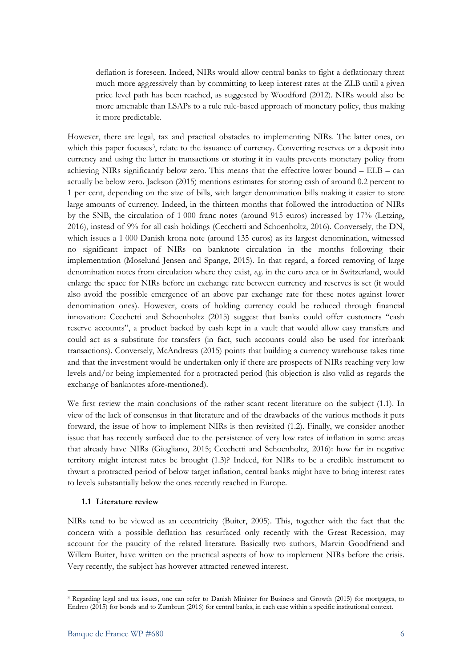deflation is foreseen. Indeed, NIRs would allow central banks to fight a deflationary threat much more aggressively than by committing to keep interest rates at the ZLB until a given price level path has been reached, as suggested by Woodford (2012). NIRs would also be more amenable than LSAPs to a rule rule-based approach of monetary policy, thus making it more predictable.

However, there are legal, tax and practical obstacles to implementing NIRs. The latter ones, on which this paper focuses<sup>3</sup>, relate to the issuance of currency. Converting reserves or a deposit into currency and using the latter in transactions or storing it in vaults prevents monetary policy from achieving NIRs significantly below zero. This means that the effective lower bound  $-$  ELB  $-$  can actually be below zero. Jackson (2015) mentions estimates for storing cash of around 0.2 percent to 1 per cent, depending on the size of bills, with larger denomination bills making it easier to store large amounts of currency. Indeed, in the thirteen months that followed the introduction of NIRs by the SNB, the circulation of 1 000 franc notes (around 915 euros) increased by 17% (Letzing, 2016), instead of 9% for all cash holdings (Cecchetti and Schoenholtz, 2016). Conversely, the DN, which issues a 1 000 Danish krona note (around 135 euros) as its largest denomination, witnessed no significant impact of NIRs on banknote circulation in the months following their implementation (Moselund Jensen and Spange, 2015). In that regard, a forced removing of large denomination notes from circulation where they exist, *e.g*. in the euro area or in Switzerland, would enlarge the space for NIRs before an exchange rate between currency and reserves is set (it would also avoid the possible emergence of an above par exchange rate for these notes against lower denomination ones). However, costs of holding currency could be reduced through financial innovation: Cecchetti and Schoenholtz (2015) suggest that banks could offer customers "cash reserve accounts", a product backed by cash kept in a vault that would allow easy transfers and could act as a substitute for transfers (in fact, such accounts could also be used for interbank transactions). Conversely, McAndrews (2015) points that building a currency warehouse takes time and that the investment would be undertaken only if there are prospects of NIRs reaching very low levels and/or being implemented for a protracted period (his objection is also valid as regards the exchange of banknotes afore-mentioned).

We first review the main conclusions of the rather scant recent literature on the subject (1.1). In view of the lack of consensus in that literature and of the drawbacks of the various methods it puts forward, the issue of how to implement NIRs is then revisited (1.2). Finally, we consider another issue that has recently surfaced due to the persistence of very low rates of inflation in some areas that already have NIRs (Giugliano, 2015; Cecchetti and Schoenholtz, 2016): how far in negative territory might interest rates be brought (1.3)? Indeed, for NIRs to be a credible instrument to thwart a protracted period of below target inflation, central banks might have to bring interest rates to levels substantially below the ones recently reached in Europe.

#### **1.1 Literature review**

NIRs tend to be viewed as an eccentricity (Buiter, 2005). This, together with the fact that the concern with a possible deflation has resurfaced only recently with the Great Recession, may account for the paucity of the related literature. Basically two authors, Marvin Goodfriend and Willem Buiter, have written on the practical aspects of how to implement NIRs before the crisis. Very recently, the subject has however attracted renewed interest.

<span id="page-5-0"></span><sup>3</sup> Regarding legal and tax issues, one can refer to Danish Minister for Business and Growth (2015) for mortgages, to Endreo (2015) for bonds and to Zumbrun (2016) for central banks, in each case within a specific institutional context.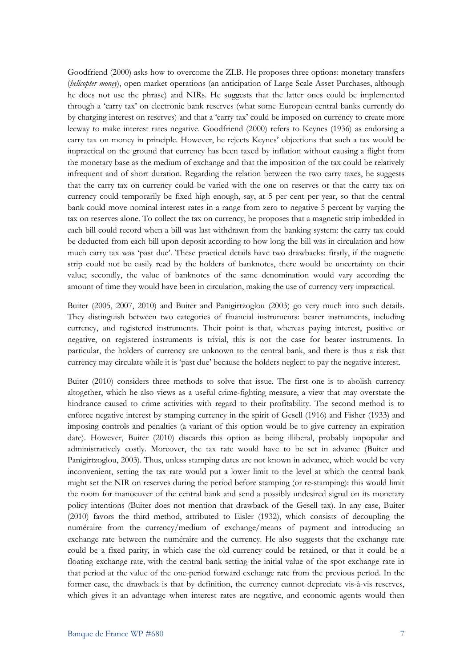Goodfriend (2000) asks how to overcome the ZLB. He proposes three options: monetary transfers (*helicopter money*), open market operations (an anticipation of Large Scale Asset Purchases, although he does not use the phrase) and NIRs. He suggests that the latter ones could be implemented through a 'carry tax' on electronic bank reserves (what some European central banks currently do by charging interest on reserves) and that a 'carry tax' could be imposed on currency to create more leeway to make interest rates negative. Goodfriend (2000) refers to Keynes (1936) as endorsing a carry tax on money in principle. However, he rejects Keynes' objections that such a tax would be impractical on the ground that currency has been taxed by inflation without causing a flight from the monetary base as the medium of exchange and that the imposition of the tax could be relatively infrequent and of short duration. Regarding the relation between the two carry taxes, he suggests that the carry tax on currency could be varied with the one on reserves or that the carry tax on currency could temporarily be fixed high enough, say, at 5 per cent per year, so that the central bank could move nominal interest rates in a range from zero to negative 5 percent by varying the tax on reserves alone. To collect the tax on currency, he proposes that a magnetic strip imbedded in each bill could record when a bill was last withdrawn from the banking system: the carry tax could be deducted from each bill upon deposit according to how long the bill was in circulation and how much carry tax was 'past due'. These practical details have two drawbacks: firstly, if the magnetic strip could not be easily read by the holders of banknotes, there would be uncertainty on their value; secondly, the value of banknotes of the same denomination would vary according the amount of time they would have been in circulation, making the use of currency very impractical.

Buiter (2005, 2007, 2010) and Buiter and Panigirtzoglou (2003) go very much into such details. They distinguish between two categories of financial instruments: bearer instruments, including currency, and registered instruments. Their point is that, whereas paying interest, positive or negative, on registered instruments is trivial, this is not the case for bearer instruments. In particular, the holders of currency are unknown to the central bank, and there is thus a risk that currency may circulate while it is 'past due' because the holders neglect to pay the negative interest.

Buiter (2010) considers three methods to solve that issue. The first one is to abolish currency altogether, which he also views as a useful crime-fighting measure, a view that may overstate the hindrance caused to crime activities with regard to their profitability. The second method is to enforce negative interest by stamping currency in the spirit of Gesell (1916) and Fisher (1933) and imposing controls and penalties (a variant of this option would be to give currency an expiration date). However, Buiter (2010) discards this option as being illiberal, probably unpopular and administratively costly. Moreover, the tax rate would have to be set in advance (Buiter and Panigirtzoglou, 2003). Thus, unless stamping dates are not known in advance, which would be very inconvenient, setting the tax rate would put a lower limit to the level at which the central bank might set the NIR on reserves during the period before stamping (or re-stamping): this would limit the room for manoeuver of the central bank and send a possibly undesired signal on its monetary policy intentions (Buiter does not mention that drawback of the Gesell tax). In any case, Buiter (2010) favors the third method, attributed to Eisler (1932), which consists of decoupling the numéraire from the currency/medium of exchange/means of payment and introducing an exchange rate between the numéraire and the currency. He also suggests that the exchange rate could be a fixed parity, in which case the old currency could be retained, or that it could be a floating exchange rate, with the central bank setting the initial value of the spot exchange rate in that period at the value of the one-period forward exchange rate from the previous period. In the former case, the drawback is that by definition, the currency cannot depreciate vis-à-vis reserves, which gives it an advantage when interest rates are negative, and economic agents would then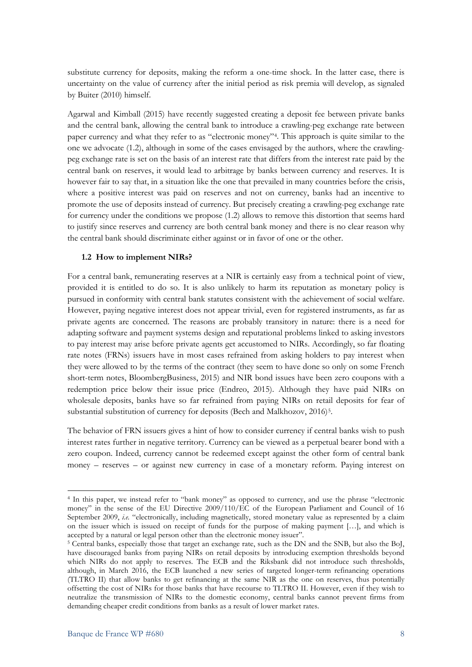substitute currency for deposits, making the reform a one-time shock. In the latter case, there is uncertainty on the value of currency after the initial period as risk premia will develop, as signaled by Buiter (2010) himself.

Agarwal and Kimball (2015) have recently suggested creating a deposit fee between private banks and the central bank, allowing the central bank to introduce a crawling-peg exchange rate between paper currency and what they refer to as "electronic money"[4](#page-7-0). This approach is quite similar to the one we advocate (1.2), although in some of the cases envisaged by the authors, where the crawlingpeg exchange rate is set on the basis of an interest rate that differs from the interest rate paid by the central bank on reserves, it would lead to arbitrage by banks between currency and reserves. It is however fair to say that, in a situation like the one that prevailed in many countries before the crisis, where a positive interest was paid on reserves and not on currency, banks had an incentive to promote the use of deposits instead of currency. But precisely creating a crawling-peg exchange rate for currency under the conditions we propose (1.2) allows to remove this distortion that seems hard to justify since reserves and currency are both central bank money and there is no clear reason why the central bank should discriminate either against or in favor of one or the other.

#### **1.2 How to implement NIRs?**

For a central bank, remunerating reserves at a NIR is certainly easy from a technical point of view, provided it is entitled to do so. It is also unlikely to harm its reputation as monetary policy is pursued in conformity with central bank statutes consistent with the achievement of social welfare. However, paying negative interest does not appear trivial, even for registered instruments, as far as private agents are concerned. The reasons are probably transitory in nature: there is a need for adapting software and payment systems design and reputational problems linked to asking investors to pay interest may arise before private agents get accustomed to NIRs. Accordingly, so far floating rate notes (FRNs) issuers have in most cases refrained from asking holders to pay interest when they were allowed to by the terms of the contract (they seem to have done so only on some French short-term notes, BloombergBusiness, 2015) and NIR bond issues have been zero coupons with a redemption price below their issue price (Endreo, 2015). Although they have paid NIRs on wholesale deposits, banks have so far refrained from paying NIRs on retail deposits for fear of substantial substitution of currency for deposits (Bech and Malkhozov, 2016)<sup>[5](#page-7-1)</sup>.

The behavior of FRN issuers gives a hint of how to consider currency if central banks wish to push interest rates further in negative territory. Currency can be viewed as a perpetual bearer bond with a zero coupon. Indeed, currency cannot be redeemed except against the other form of central bank money – reserves – or against new currency in case of a monetary reform. Paying interest on

 $\overline{\phantom{a}}$ 

<span id="page-7-0"></span><sup>4</sup> In this paper, we instead refer to "bank money" as opposed to currency, and use the phrase "electronic money" in the sense of the EU Directive 2009/110/EC of the European Parliament and Council of 16 September 2009, *i.e.* "electronically, including magnetically, stored monetary value as represented by a claim on the issuer which is issued on receipt of funds for the purpose of making payment […], and which is accepted by a natural or legal person other than the electronic money issuer".

<span id="page-7-1"></span><sup>&</sup>lt;sup>5</sup> Central banks, especially those that target an exchange rate, such as the DN and the SNB, but also the BoJ, have discouraged banks from paying NIRs on retail deposits by introducing exemption thresholds beyond which NIRs do not apply to reserves. The ECB and the Riksbank did not introduce such thresholds, although, in March 2016, the ECB launched a new series of targeted longer-term refinancing operations (TLTRO II) that allow banks to get refinancing at the same NIR as the one on reserves, thus potentially offsetting the cost of NIRs for those banks that have recourse to TLTRO II. However, even if they wish to neutralize the transmission of NIRs to the domestic economy, central banks cannot prevent firms from demanding cheaper credit conditions from banks as a result of lower market rates.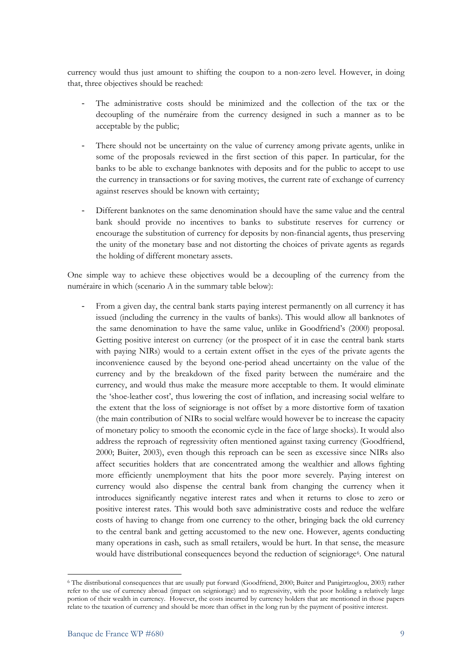currency would thus just amount to shifting the coupon to a non-zero level. However, in doing that, three objectives should be reached:

- The administrative costs should be minimized and the collection of the tax or the decoupling of the numéraire from the currency designed in such a manner as to be acceptable by the public;
- There should not be uncertainty on the value of currency among private agents, unlike in some of the proposals reviewed in the first section of this paper. In particular, for the banks to be able to exchange banknotes with deposits and for the public to accept to use the currency in transactions or for saving motives, the current rate of exchange of currency against reserves should be known with certainty;
- Different banknotes on the same denomination should have the same value and the central bank should provide no incentives to banks to substitute reserves for currency or encourage the substitution of currency for deposits by non-financial agents, thus preserving the unity of the monetary base and not distorting the choices of private agents as regards the holding of different monetary assets.

One simple way to achieve these objectives would be a decoupling of the currency from the numéraire in which (scenario A in the summary table below):

From a given day, the central bank starts paying interest permanently on all currency it has issued (including the currency in the vaults of banks). This would allow all banknotes of the same denomination to have the same value, unlike in Goodfriend's (2000) proposal. Getting positive interest on currency (or the prospect of it in case the central bank starts with paying NIRs) would to a certain extent offset in the eyes of the private agents the inconvenience caused by the beyond one-period ahead uncertainty on the value of the currency and by the breakdown of the fixed parity between the numéraire and the currency, and would thus make the measure more acceptable to them. It would eliminate the 'shoe-leather cost', thus lowering the cost of inflation, and increasing social welfare to the extent that the loss of seigniorage is not offset by a more distortive form of taxation (the main contribution of NIRs to social welfare would however be to increase the capacity of monetary policy to smooth the economic cycle in the face of large shocks). It would also address the reproach of regressivity often mentioned against taxing currency (Goodfriend, 2000; Buiter, 2003), even though this reproach can be seen as excessive since NIRs also affect securities holders that are concentrated among the wealthier and allows fighting more efficiently unemployment that hits the poor more severely. Paying interest on currency would also dispense the central bank from changing the currency when it introduces significantly negative interest rates and when it returns to close to zero or positive interest rates. This would both save administrative costs and reduce the welfare costs of having to change from one currency to the other, bringing back the old currency to the central bank and getting accustomed to the new one. However, agents conducting many operations in cash, such as small retailers, would be hurt. In that sense, the measure would have distributional consequences beyond the reduction of seigniorage<sup>6</sup>. One natural

<span id="page-8-0"></span><sup>6</sup> The distributional consequences that are usually put forward (Goodfriend, 2000; Buiter and Panigirtzoglou, 2003) rather refer to the use of currency abroad (impact on seigniorage) and to regressivity, with the poor holding a relatively large portion of their wealth in currency. However, the costs incurred by currency holders that are mentioned in those papers relate to the taxation of currency and should be more than offset in the long run by the payment of positive interest.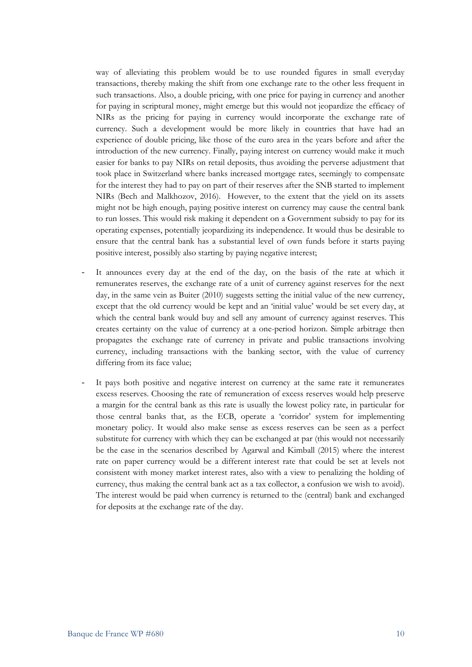way of alleviating this problem would be to use rounded figures in small everyday transactions, thereby making the shift from one exchange rate to the other less frequent in such transactions. Also, a double pricing, with one price for paying in currency and another for paying in scriptural money, might emerge but this would not jeopardize the efficacy of NIRs as the pricing for paying in currency would incorporate the exchange rate of currency. Such a development would be more likely in countries that have had an experience of double pricing, like those of the euro area in the years before and after the introduction of the new currency. Finally, paying interest on currency would make it much easier for banks to pay NIRs on retail deposits, thus avoiding the perverse adjustment that took place in Switzerland where banks increased mortgage rates, seemingly to compensate for the interest they had to pay on part of their reserves after the SNB started to implement NIRs (Bech and Malkhozov, 2016). However, to the extent that the yield on its assets might not be high enough, paying positive interest on currency may cause the central bank to run losses. This would risk making it dependent on a Government subsidy to pay for its operating expenses, potentially jeopardizing its independence. It would thus be desirable to ensure that the central bank has a substantial level of own funds before it starts paying positive interest, possibly also starting by paying negative interest;

- It announces every day at the end of the day, on the basis of the rate at which it remunerates reserves, the exchange rate of a unit of currency against reserves for the next day, in the same vein as Buiter (2010) suggests setting the initial value of the new currency, except that the old currency would be kept and an 'initial value' would be set every day, at which the central bank would buy and sell any amount of currency against reserves. This creates certainty on the value of currency at a one-period horizon. Simple arbitrage then propagates the exchange rate of currency in private and public transactions involving currency, including transactions with the banking sector, with the value of currency differing from its face value;
- It pays both positive and negative interest on currency at the same rate it remunerates excess reserves. Choosing the rate of remuneration of excess reserves would help preserve a margin for the central bank as this rate is usually the lowest policy rate, in particular for those central banks that, as the ECB, operate a 'corridor' system for implementing monetary policy. It would also make sense as excess reserves can be seen as a perfect substitute for currency with which they can be exchanged at par (this would not necessarily be the case in the scenarios described by Agarwal and Kimball (2015) where the interest rate on paper currency would be a different interest rate that could be set at levels not consistent with money market interest rates, also with a view to penalizing the holding of currency, thus making the central bank act as a tax collector, a confusion we wish to avoid). The interest would be paid when currency is returned to the (central) bank and exchanged for deposits at the exchange rate of the day.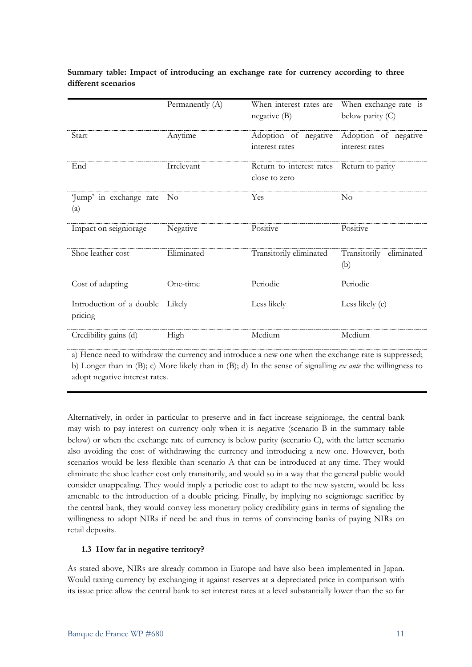|                                            | Permanently (A) | When interest rates are<br>negative (B)   | When exchange rate is<br>below parity (C) |
|--------------------------------------------|-----------------|-------------------------------------------|-------------------------------------------|
| Start                                      | Anytime         | Adoption of negative<br>interest rates    | Adoption of negative<br>interest rates    |
| End                                        | Irrelevant      | Return to interest rates<br>close to zero | Return to parity                          |
| Jump' in exchange rate No<br>(a)           |                 | Yes                                       | N <sub>o</sub>                            |
| Impact on seigniorage                      | Negative        | Positive                                  | Positive                                  |
| Shoe leather cost                          | Eliminated      | Transitorily eliminated                   | Transitorily eliminated<br>(b)            |
| Cost of adapting                           | One-time        | Periodic                                  | Periodic                                  |
| Introduction of a double Likely<br>pricing |                 | Less likely                               | Less likely (c)                           |
| Credibility gains (d)                      | High            | Medium                                    | Medium                                    |

**Summary table: Impact of introducing an exchange rate for currency according to three different scenarios**

a) Hence need to withdraw the currency and introduce a new one when the exchange rate is suppressed; b) Longer than in (B); c) More likely than in (B); d) In the sense of signalling *ex ante* the willingness to adopt negative interest rates.

Alternatively, in order in particular to preserve and in fact increase seigniorage, the central bank may wish to pay interest on currency only when it is negative (scenario B in the summary table below) or when the exchange rate of currency is below parity (scenario C), with the latter scenario also avoiding the cost of withdrawing the currency and introducing a new one. However, both scenarios would be less flexible than scenario A that can be introduced at any time. They would eliminate the shoe leather cost only transitorily, and would so in a way that the general public would consider unappealing. They would imply a periodic cost to adapt to the new system, would be less amenable to the introduction of a double pricing. Finally, by implying no seigniorage sacrifice by the central bank, they would convey less monetary policy credibility gains in terms of signaling the willingness to adopt NIRs if need be and thus in terms of convincing banks of paying NIRs on retail deposits.

#### **1.3 How far in negative territory?**

As stated above, NIRs are already common in Europe and have also been implemented in Japan. Would taxing currency by exchanging it against reserves at a depreciated price in comparison with its issue price allow the central bank to set interest rates at a level substantially lower than the so far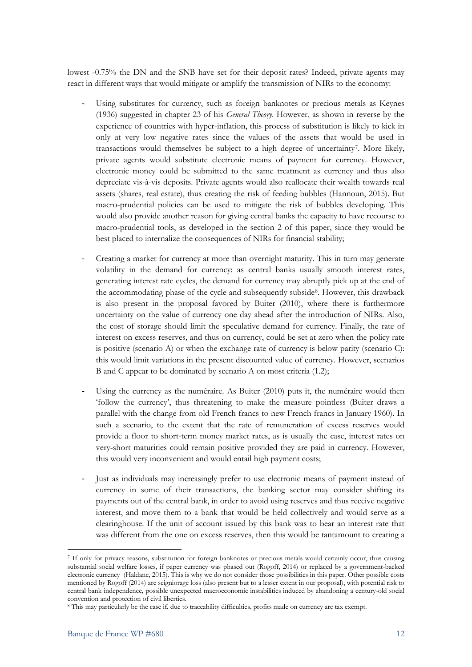lowest -0.75% the DN and the SNB have set for their deposit rates? Indeed, private agents may react in different ways that would mitigate or amplify the transmission of NIRs to the economy:

- Using substitutes for currency, such as foreign banknotes or precious metals as Keynes (1936) suggested in chapter 23 of his *General Theory*. However, as shown in reverse by the experience of countries with hyper-inflation, this process of substitution is likely to kick in only at very low negative rates since the values of the assets that would be used in transactions would themselves be subject to a high degree of uncertainty[7](#page-11-0). More likely, private agents would substitute electronic means of payment for currency. However, electronic money could be submitted to the same treatment as currency and thus also depreciate vis-à-vis deposits. Private agents would also reallocate their wealth towards real assets (shares, real estate), thus creating the risk of feeding bubbles (Hannoun, 2015). But macro-prudential policies can be used to mitigate the risk of bubbles developing. This would also provide another reason for giving central banks the capacity to have recourse to macro-prudential tools, as developed in the section 2 of this paper, since they would be best placed to internalize the consequences of NIRs for financial stability;
- Creating a market for currency at more than overnight maturity. This in turn may generate volatility in the demand for currency: as central banks usually smooth interest rates, generating interest rate cycles, the demand for currency may abruptly pick up at the end of the accommodating phase of the cycle and subsequently subside[8.](#page-11-1) However, this drawback is also present in the proposal favored by Buiter (2010), where there is furthermore uncertainty on the value of currency one day ahead after the introduction of NIRs. Also, the cost of storage should limit the speculative demand for currency. Finally, the rate of interest on excess reserves, and thus on currency, could be set at zero when the policy rate is positive (scenario A) or when the exchange rate of currency is below parity (scenario C): this would limit variations in the present discounted value of currency. However, scenarios B and C appear to be dominated by scenario A on most criteria (1.2);
- Using the currency as the numéraire. As Buiter (2010) puts it, the numéraire would then 'follow the currency', thus threatening to make the measure pointless (Buiter draws a parallel with the change from old French francs to new French francs in January 1960). In such a scenario, to the extent that the rate of remuneration of excess reserves would provide a floor to short-term money market rates, as is usually the case, interest rates on very-short maturities could remain positive provided they are paid in currency. However, this would very inconvenient and would entail high payment costs;
- Just as individuals may increasingly prefer to use electronic means of payment instead of currency in some of their transactions, the banking sector may consider shifting its payments out of the central bank, in order to avoid using reserves and thus receive negative interest, and move them to a bank that would be held collectively and would serve as a clearinghouse. If the unit of account issued by this bank was to bear an interest rate that was different from the one on excess reserves, then this would be tantamount to creating a

<span id="page-11-0"></span><sup>7</sup> If only for privacy reasons, substitution for foreign banknotes or precious metals would certainly occur, thus causing substantial social welfare losses, if paper currency was phased out (Rogoff, 2014) or replaced by a government-backed electronic currency (Haldane, 2015). This is why we do not consider those possibilities in this paper. Other possible costs mentioned by Rogoff (2014) are seigniorage loss (also present but to a lesser extent in our proposal), with potential risk to central bank independence, possible unexpected macroeconomic instabilities induced by abandoning a century-old social convention and protection of civil liberties.

<span id="page-11-1"></span><sup>8</sup> This may particularly be the case if, due to traceability difficulties, profits made on currency are tax exempt.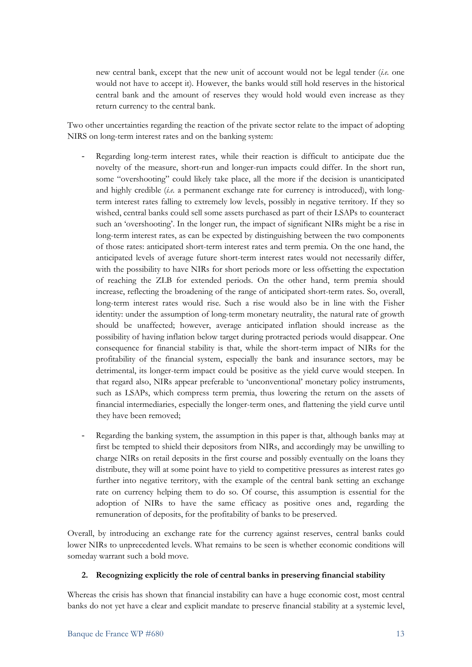new central bank, except that the new unit of account would not be legal tender (*i.e.* one would not have to accept it). However, the banks would still hold reserves in the historical central bank and the amount of reserves they would hold would even increase as they return currency to the central bank.

Two other uncertainties regarding the reaction of the private sector relate to the impact of adopting NIRS on long-term interest rates and on the banking system:

- Regarding long-term interest rates, while their reaction is difficult to anticipate due the novelty of the measure, short-run and longer-run impacts could differ. In the short run, some "overshooting" could likely take place, all the more if the decision is unanticipated and highly credible (*i.e.* a permanent exchange rate for currency is introduced), with longterm interest rates falling to extremely low levels, possibly in negative territory. If they so wished, central banks could sell some assets purchased as part of their LSAPs to counteract such an 'overshooting'. In the longer run, the impact of significant NIRs might be a rise in long-term interest rates, as can be expected by distinguishing between the two components of those rates: anticipated short-term interest rates and term premia. On the one hand, the anticipated levels of average future short-term interest rates would not necessarily differ, with the possibility to have NIRs for short periods more or less offsetting the expectation of reaching the ZLB for extended periods. On the other hand, term premia should increase, reflecting the broadening of the range of anticipated short-term rates. So, overall, long-term interest rates would rise. Such a rise would also be in line with the Fisher identity: under the assumption of long-term monetary neutrality, the natural rate of growth should be unaffected; however, average anticipated inflation should increase as the possibility of having inflation below target during protracted periods would disappear. One consequence for financial stability is that, while the short-term impact of NIRs for the profitability of the financial system, especially the bank and insurance sectors, may be detrimental, its longer-term impact could be positive as the yield curve would steepen. In that regard also, NIRs appear preferable to 'unconventional' monetary policy instruments, such as LSAPs, which compress term premia, thus lowering the return on the assets of financial intermediaries, especially the longer-term ones, and flattening the yield curve until they have been removed;
- Regarding the banking system, the assumption in this paper is that, although banks may at first be tempted to shield their depositors from NIRs, and accordingly may be unwilling to charge NIRs on retail deposits in the first course and possibly eventually on the loans they distribute, they will at some point have to yield to competitive pressures as interest rates go further into negative territory, with the example of the central bank setting an exchange rate on currency helping them to do so. Of course, this assumption is essential for the adoption of NIRs to have the same efficacy as positive ones and, regarding the remuneration of deposits, for the profitability of banks to be preserved.

Overall, by introducing an exchange rate for the currency against reserves, central banks could lower NIRs to unprecedented levels. What remains to be seen is whether economic conditions will someday warrant such a bold move.

#### **2. Recognizing explicitly the role of central banks in preserving financial stability**

Whereas the crisis has shown that financial instability can have a huge economic cost, most central banks do not yet have a clear and explicit mandate to preserve financial stability at a systemic level,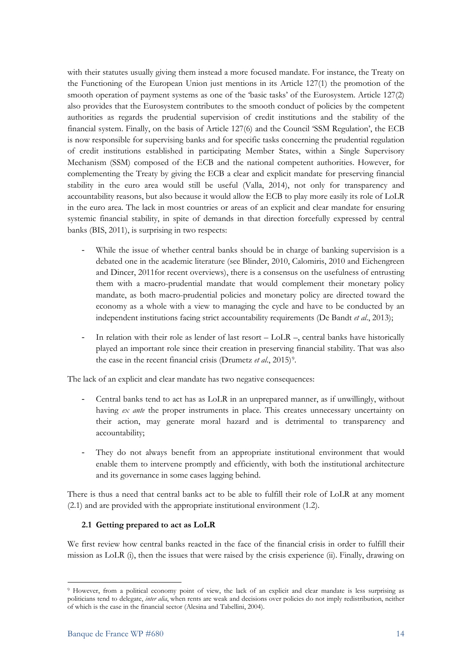with their statutes usually giving them instead a more focused mandate. For instance, the Treaty on the Functioning of the European Union just mentions in its Article 127(1) the promotion of the smooth operation of payment systems as one of the 'basic tasks' of the Eurosystem. Article 127(2) also provides that the Eurosystem contributes to the smooth conduct of policies by the competent authorities as regards the prudential supervision of credit institutions and the stability of the financial system. Finally, on the basis of Article 127(6) and the Council 'SSM Regulation', the ECB is now responsible for supervising banks and for specific tasks concerning the prudential regulation of credit institutions established in participating Member States, within a Single Supervisory Mechanism (SSM) composed of the ECB and the national competent authorities. However, for complementing the Treaty by giving the ECB a clear and explicit mandate for preserving financial stability in the euro area would still be useful (Valla, 2014), not only for transparency and accountability reasons, but also because it would allow the ECB to play more easily its role of LoLR in the euro area. The lack in most countries or areas of an explicit and clear mandate for ensuring systemic financial stability, in spite of demands in that direction forcefully expressed by central banks (BIS, 2011), is surprising in two respects:

- While the issue of whether central banks should be in charge of banking supervision is a debated one in the academic literature (see Blinder, 2010, Calomiris, 2010 and Eichengreen and Dincer, 2011for recent overviews), there is a consensus on the usefulness of entrusting them with a macro-prudential mandate that would complement their monetary policy mandate, as both macro-prudential policies and monetary policy are directed toward the economy as a whole with a view to managing the cycle and have to be conducted by an independent institutions facing strict accountability requirements (De Bandt *et al*., 2013);
- In relation with their role as lender of last resort  $-$  LoLR  $-$ , central banks have historically played an important role since their creation in preserving financial stability. That was also the case in the recent financial crisis (Drumetz *et al*., 2015)[9.](#page-13-0)

The lack of an explicit and clear mandate has two negative consequences:

- Central banks tend to act has as LoLR in an unprepared manner, as if unwillingly, without having *ex ante* the proper instruments in place. This creates unnecessary uncertainty on their action, may generate moral hazard and is detrimental to transparency and accountability;
- They do not always benefit from an appropriate institutional environment that would enable them to intervene promptly and efficiently, with both the institutional architecture and its governance in some cases lagging behind.

There is thus a need that central banks act to be able to fulfill their role of LoLR at any moment (2.1) and are provided with the appropriate institutional environment (1.2).

#### **2.1 Getting prepared to act as LoLR**

We first review how central banks reacted in the face of the financial crisis in order to fulfill their mission as LoLR (i), then the issues that were raised by the crisis experience (ii). Finally, drawing on

<span id="page-13-0"></span>**<sup>.</sup>** <sup>9</sup> However, from a political economy point of view, the lack of an explicit and clear mandate is less surprising as politicians tend to delegate, *inter alia*, when rents are weak and decisions over policies do not imply redistribution, neither of which is the case in the financial sector (Alesina and Tabellini, 2004).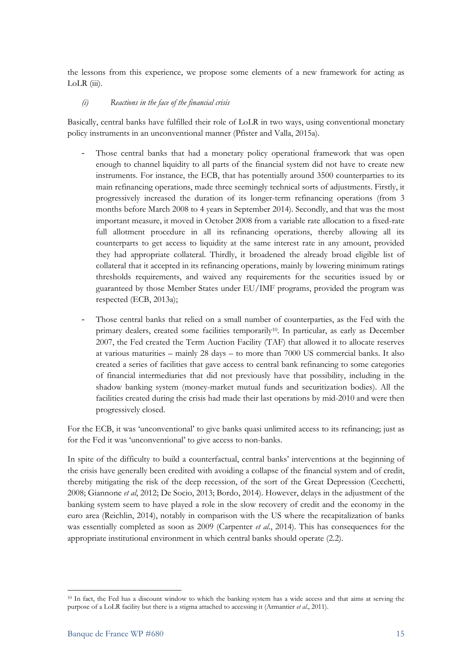the lessons from this experience, we propose some elements of a new framework for acting as  $LoLR$  (iii).

#### *(i) Reactions in the face of the financial crisis*

Basically, central banks have fulfilled their role of LoLR in two ways, using conventional monetary policy instruments in an unconventional manner (Pfister and Valla, 2015a).

- Those central banks that had a monetary policy operational framework that was open enough to channel liquidity to all parts of the financial system did not have to create new instruments. For instance, the ECB, that has potentially around 3500 counterparties to its main refinancing operations, made three seemingly technical sorts of adjustments. Firstly, it progressively increased the duration of its longer-term refinancing operations (from 3 months before March 2008 to 4 years in September 2014). Secondly, and that was the most important measure, it moved in October 2008 from a variable rate allocation to a fixed-rate full allotment procedure in all its refinancing operations, thereby allowing all its counterparts to get access to liquidity at the same interest rate in any amount, provided they had appropriate collateral. Thirdly, it broadened the already broad eligible list of collateral that it accepted in its refinancing operations, mainly by lowering minimum ratings thresholds requirements, and waived any requirements for the securities issued by or guaranteed by those Member States under EU/IMF programs, provided the program was respected (ECB, 2013a);
- Those central banks that relied on a small number of counterparties, as the Fed with the primary dealers, created some facilities temporaril[y10.](#page-14-0) In particular, as early as December 2007, the Fed created the Term Auction Facility (TAF) that allowed it to allocate reserves at various maturities – mainly 28 days – to more than 7000 US commercial banks. It also created a series of facilities that gave access to central bank refinancing to some categories of financial intermediaries that did not previously have that possibility, including in the shadow banking system (money-market mutual funds and securitization bodies). All the facilities created during the crisis had made their last operations by mid-2010 and were then progressively closed.

For the ECB, it was 'unconventional' to give banks quasi unlimited access to its refinancing; just as for the Fed it was 'unconventional' to give access to non-banks.

In spite of the difficulty to build a counterfactual, central banks' interventions at the beginning of the crisis have generally been credited with avoiding a collapse of the financial system and of credit, thereby mitigating the risk of the deep recession, of the sort of the Great Depression (Cecchetti, 2008; Giannone *et al*, 2012; De Socio, 2013; Bordo, 2014). However, delays in the adjustment of the banking system seem to have played a role in the slow recovery of credit and the economy in the euro area (Reichlin, 2014), notably in comparison with the US where the recapitalization of banks was essentially completed as soon as 2009 (Carpenter *et al*., 2014). This has consequences for the appropriate institutional environment in which central banks should operate (2.2).

<span id="page-14-0"></span><sup>10</sup> In fact, the Fed has a discount window to which the banking system has a wide access and that aims at serving the purpose of a LoLR facility but there is a stigma attached to accessing it (Armantier *et al*., 2011).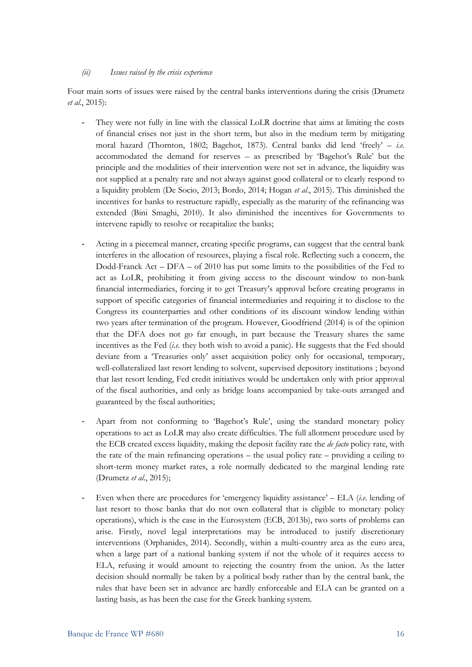#### *(ii) Issues raised by the crisis experience*

Four main sorts of issues were raised by the central banks interventions during the crisis (Drumetz *et al*., 2015):

- They were not fully in line with the classical LoLR doctrine that aims at limiting the costs of financial crises not just in the short term, but also in the medium term by mitigating moral hazard (Thornton, 1802; Bagehot, 1873). Central banks did lend 'freely' – *i.e.* accommodated the demand for reserves – as prescribed by 'Bagehot's Rule' but the principle and the modalities of their intervention were not set in advance, the liquidity was not supplied at a penalty rate and not always against good collateral or to clearly respond to a liquidity problem (De Socio, 2013; Bordo, 2014; Hogan *et al*., 2015). This diminished the incentives for banks to restructure rapidly, especially as the maturity of the refinancing was extended (Bini Smaghi, 2010). It also diminished the incentives for Governments to intervene rapidly to resolve or recapitalize the banks;
- Acting in a piecemeal manner, creating specific programs, can suggest that the central bank interferes in the allocation of resources, playing a fiscal role. Reflecting such a concern, the Dodd-Franck Act – DFA – of 2010 has put some limits to the possibilities of the Fed to act as LoLR, prohibiting it from giving access to the discount window to non-bank financial intermediaries, forcing it to get Treasury's approval before creating programs in support of specific categories of financial intermediaries and requiring it to disclose to the Congress its counterparties and other conditions of its discount window lending within two years after termination of the program. However, Goodfriend (2014) is of the opinion that the DFA does not go far enough, in part because the Treasury shares the same incentives as the Fed (*i.e.* they both wish to avoid a panic). He suggests that the Fed should deviate from a 'Treasuries only' asset acquisition policy only for occasional, temporary, well-collateralized last resort lending to solvent, supervised depository institutions ; beyond that last resort lending, Fed credit initiatives would be undertaken only with prior approval of the fiscal authorities, and only as bridge loans accompanied by take-outs arranged and guaranteed by the fiscal authorities;
- Apart from not conforming to 'Bagehot's Rule', using the standard monetary policy operations to act as LoLR may also create difficulties. The full allotment procedure used by the ECB created excess liquidity, making the deposit facility rate the *de facto* policy rate, with the rate of the main refinancing operations – the usual policy rate – providing a ceiling to short-term money market rates, a role normally dedicated to the marginal lending rate (Drumetz *et al*., 2015);
- Even when there are procedures for 'emergency liquidity assistance' ELA (*i.e.* lending of last resort to those banks that do not own collateral that is eligible to monetary policy operations), which is the case in the Eurosystem (ECB, 2013b), two sorts of problems can arise. Firstly, novel legal interpretations may be introduced to justify discretionary interventions (Orphanides, 2014). Secondly, within a multi-country area as the euro area, when a large part of a national banking system if not the whole of it requires access to ELA, refusing it would amount to rejecting the country from the union. As the latter decision should normally be taken by a political body rather than by the central bank, the rules that have been set in advance are hardly enforceable and ELA can be granted on a lasting basis, as has been the case for the Greek banking system.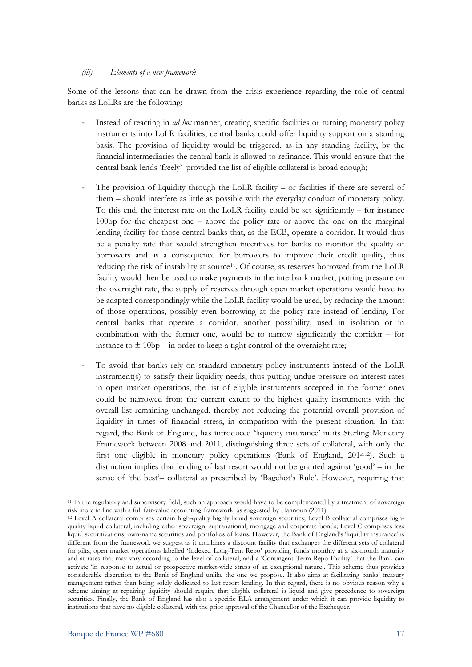#### *(iii) Elements of a new framework*

Some of the lessons that can be drawn from the crisis experience regarding the role of central banks as LoLRs are the following:

- Instead of reacting in *ad hoc* manner, creating specific facilities or turning monetary policy instruments into LoLR facilities, central banks could offer liquidity support on a standing basis. The provision of liquidity would be triggered, as in any standing facility, by the financial intermediaries the central bank is allowed to refinance. This would ensure that the central bank lends 'freely' provided the list of eligible collateral is broad enough;
- The provision of liquidity through the LoLR facility  $-$  or facilities if there are several of them – should interfere as little as possible with the everyday conduct of monetary policy. To this end, the interest rate on the LoLR facility could be set significantly – for instance 100bp for the cheapest one – above the policy rate or above the one on the marginal lending facility for those central banks that, as the ECB, operate a corridor. It would thus be a penalty rate that would strengthen incentives for banks to monitor the quality of borrowers and as a consequence for borrowers to improve their credit quality, thus reducing the risk of instability at source[11](#page-16-0). Of course, as reserves borrowed from the LoLR facility would then be used to make payments in the interbank market, putting pressure on the overnight rate, the supply of reserves through open market operations would have to be adapted correspondingly while the LoLR facility would be used, by reducing the amount of those operations, possibly even borrowing at the policy rate instead of lending. For central banks that operate a corridor, another possibility, used in isolation or in combination with the former one, would be to narrow significantly the corridor – for instance to  $\pm 10bp$  – in order to keep a tight control of the overnight rate;
- To avoid that banks rely on standard monetary policy instruments instead of the LoLR instrument(s) to satisfy their liquidity needs, thus putting undue pressure on interest rates in open market operations, the list of eligible instruments accepted in the former ones could be narrowed from the current extent to the highest quality instruments with the overall list remaining unchanged, thereby not reducing the potential overall provision of liquidity in times of financial stress, in comparison with the present situation. In that regard, the Bank of England, has introduced 'liquidity insurance' in its Sterling Monetary Framework between 2008 and 2011, distinguishing three sets of collateral, with only the first one eligible in monetary policy operations (Bank of England, 2014[12\)](#page-16-1). Such a distinction implies that lending of last resort would not be granted against 'good' – in the sense of 'the best'– collateral as prescribed by 'Bagehot's Rule'. However, requiring that

<span id="page-16-0"></span><sup>11</sup> In the regulatory and supervisory field, such an approach would have to be complemented by a treatment of sovereign risk more in line with a full fair-value accounting framework, as suggested by Hannoun (2011).

<span id="page-16-1"></span><sup>12</sup> Level A collateral comprises certain high-quality highly liquid sovereign securities; Level B collateral comprises highquality liquid collateral, including other sovereign, supranational, mortgage and corporate bonds; Level C comprises less liquid securitizations, own-name securities and portfolios of loans. However, the Bank of England's 'liquidity insurance' is different from the framework we suggest as it combines a discount facility that exchanges the different sets of collateral for gilts, open market operations labelled 'Indexed Long-Tem Repo' providing funds monthly at a six-month maturity and at rates that may vary according to the level of collateral, and a 'Contingent Term Repo Facility' that the Bank can activate 'in response to actual or prospective market-wide stress of an exceptional nature'. This scheme thus provides considerable discretion to the Bank of England unlike the one we propose. It also aims at facilitating banks' treasury management rather than being solely dedicated to last resort lending. In that regard, there is no obvious reason why a scheme aiming at repairing liquidity should require that eligible collateral is liquid and give precedence to sovereign securities. Finally, the Bank of England has also a specific ELA arrangement under which it can provide liquidity to institutions that have no eligible collateral, with the prior approval of the Chancellor of the Exchequer.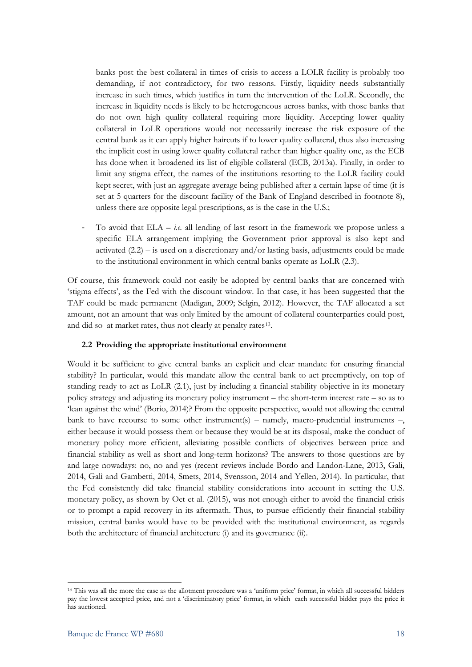banks post the best collateral in times of crisis to access a LOLR facility is probably too demanding, if not contradictory, for two reasons. Firstly, liquidity needs substantially increase in such times, which justifies in turn the intervention of the LoLR. Secondly, the increase in liquidity needs is likely to be heterogeneous across banks, with those banks that do not own high quality collateral requiring more liquidity. Accepting lower quality collateral in LoLR operations would not necessarily increase the risk exposure of the central bank as it can apply higher haircuts if to lower quality collateral, thus also increasing the implicit cost in using lower quality collateral rather than higher quality one, as the ECB has done when it broadened its list of eligible collateral (ECB, 2013a). Finally, in order to limit any stigma effect, the names of the institutions resorting to the LoLR facility could kept secret, with just an aggregate average being published after a certain lapse of time (it is set at 5 quarters for the discount facility of the Bank of England described in footnote 8), unless there are opposite legal prescriptions, as is the case in the U.S.;

To avoid that  $ELA - i.e.$  all lending of last resort in the framework we propose unless a specific ELA arrangement implying the Government prior approval is also kept and activated  $(2.2)$  – is used on a discretionary and/or lasting basis, adjustments could be made to the institutional environment in which central banks operate as LoLR (2.3).

Of course, this framework could not easily be adopted by central banks that are concerned with 'stigma effects', as the Fed with the discount window. In that case, it has been suggested that the TAF could be made permanent (Madigan, 2009; Selgin, 2012). However, the TAF allocated a set amount, not an amount that was only limited by the amount of collateral counterparties could post, and did so at market rates, thus not clearly at penalty rates<sup>[13](#page-17-0)</sup>.

#### **2.2 Providing the appropriate institutional environment**

Would it be sufficient to give central banks an explicit and clear mandate for ensuring financial stability? In particular, would this mandate allow the central bank to act preemptively, on top of standing ready to act as LoLR (2.1), just by including a financial stability objective in its monetary policy strategy and adjusting its monetary policy instrument – the short-term interest rate – so as to 'lean against the wind' (Borio, 2014)? From the opposite perspective, would not allowing the central bank to have recourse to some other instrument(s) – namely, macro-prudential instruments  $-$ , either because it would possess them or because they would be at its disposal, make the conduct of monetary policy more efficient, alleviating possible conflicts of objectives between price and financial stability as well as short and long-term horizons? The answers to those questions are by and large nowadays: no, no and yes (recent reviews include Bordo and Landon-Lane, 2013, Galì, 2014, Galì and Gambetti, 2014, Smets, 2014, Svensson, 2014 and Yellen, 2014). In particular, that the Fed consistently did take financial stability considerations into account in setting the U.S. monetary policy, as shown by Oet et al. (2015), was not enough either to avoid the financial crisis or to prompt a rapid recovery in its aftermath. Thus, to pursue efficiently their financial stability mission, central banks would have to be provided with the institutional environment, as regards both the architecture of financial architecture (i) and its governance (ii).

<span id="page-17-0"></span><sup>13</sup> This was all the more the case as the allotment procedure was a 'uniform price' format, in which all successful bidders pay the lowest accepted price, and not a 'discriminatory price' format, in which each successful bidder pays the price it has auctioned.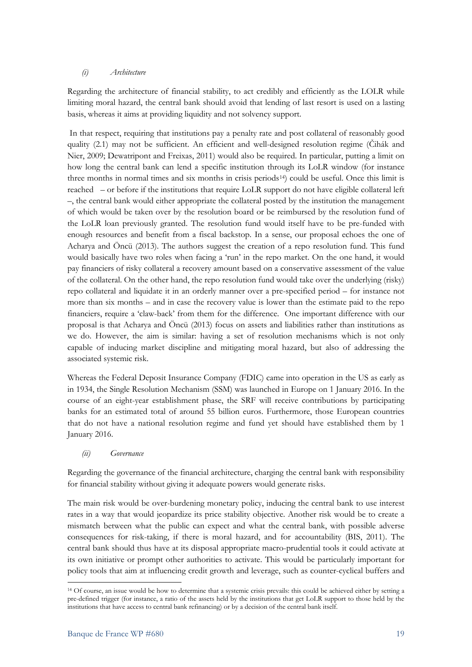#### *(i) Architecture*

Regarding the architecture of financial stability, to act credibly and efficiently as the LOLR while limiting moral hazard, the central bank should avoid that lending of last resort is used on a lasting basis, whereas it aims at providing liquidity and not solvency support.

In that respect, requiring that institutions pay a penalty rate and post collateral of reasonably good quality (2.1) may not be sufficient. An efficient and well-designed resolution regime (Čihák and Nier, 2009; Dewatripont and Freixas, 2011) would also be required. In particular, putting a limit on how long the central bank can lend a specific institution through its LoLR window (for instance three months in normal times and six months in crisis periods[14](#page-18-0)) could be useful. Once this limit is reached – or before if the institutions that require LoLR support do not have eligible collateral left –, the central bank would either appropriate the collateral posted by the institution the management of which would be taken over by the resolution board or be reimbursed by the resolution fund of the LoLR loan previously granted. The resolution fund would itself have to be pre-funded with enough resources and benefit from a fiscal backstop. In a sense, our proposal echoes the one of Acharya and Öncü (2013). The authors suggest the creation of a repo resolution fund. This fund would basically have two roles when facing a 'run' in the repo market. On the one hand, it would pay financiers of risky collateral a recovery amount based on a conservative assessment of the value of the collateral. On the other hand, the repo resolution fund would take over the underlying (risky) repo collateral and liquidate it in an orderly manner over a pre-specified period – for instance not more than six months – and in case the recovery value is lower than the estimate paid to the repo financiers, require a 'claw-back' from them for the difference. One important difference with our proposal is that Acharya and Öncü (2013) focus on assets and liabilities rather than institutions as we do. However, the aim is similar: having a set of resolution mechanisms which is not only capable of inducing market discipline and mitigating moral hazard, but also of addressing the associated systemic risk.

Whereas the Federal Deposit Insurance Company (FDIC) came into operation in the US as early as in 1934, the Single Resolution Mechanism (SSM) was launched in Europe on 1 January 2016. In the course of an eight-year establishment phase, the SRF will receive contributions by participating banks for an estimated total of around 55 billion euros. Furthermore, those European countries that do not have a national resolution regime and fund yet should have established them by 1 January 2016.

#### *(ii) Governance*

Regarding the governance of the financial architecture, charging the central bank with responsibility for financial stability without giving it adequate powers would generate risks.

The main risk would be over-burdening monetary policy, inducing the central bank to use interest rates in a way that would jeopardize its price stability objective. Another risk would be to create a mismatch between what the public can expect and what the central bank, with possible adverse consequences for risk-taking, if there is moral hazard, and for accountability (BIS, 2011). The central bank should thus have at its disposal appropriate macro-prudential tools it could activate at its own initiative or prompt other authorities to activate. This would be particularly important for policy tools that aim at influencing credit growth and leverage, such as counter-cyclical buffers and

<span id="page-18-0"></span>**<sup>.</sup>** <sup>14</sup> Of course, an issue would be how to determine that a systemic crisis prevails: this could be achieved either by setting a pre-defined trigger (for instance, a ratio of the assets held by the institutions that get LoLR support to those held by the institutions that have access to central bank refinancing) or by a decision of the central bank itself.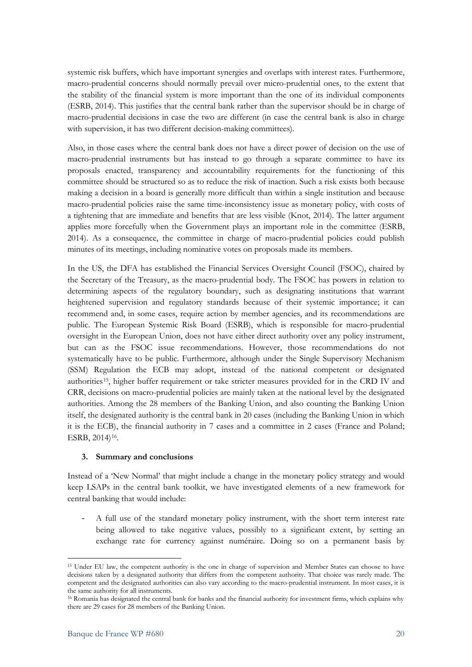systemic risk buffers, which have important synergies and overlaps with interest rates. Furthermore, macro-prudential concerns should normally prevail over micro-prudential ones, to the extent that the stability of the financial system is more important than the one of its individual components (ESRB, 2014). This justifies that the central bank rather than the supervisor should be in charge of macro-prudential decisions in case the two are different (in case the central bank is also in charge with supervision, it has two different decision-making committees).

Also, in those cases where the central bank does not have a direct power of decision on the use of macro-prudential instruments but has instead to go through a separate committee to have its proposals enacted, transparency and accountability requirements for the functioning of this committee should be structured so as to reduce the risk of inaction. Such a risk exists both because making a decision in a board is generally more difficult than within a single institution and because macro-prudential policies raise the same time-inconsistency issue as monetary policy, with costs of a tightening that are immediate and benefits that are less visible (Knot, 2014). The latter argument applies more forcefully when the Government plays an important role in the committee (ESRB, 2014). As a consequence, the committee in charge of macro-prudential policies could publish minutes of its meetings, including nominative votes on proposals made its members.

In the US, the DFA has established the Financial Services Oversight Council (FSOC), chaired by the Secretary of the Treasury, as the macro-prudential body. The FSOC has powers in relation to determining aspects of the regulatory boundary, such as designating institutions that warrant heightened supervision and regulatory standards because of their systemic importance; it can recommend and, in some cases, require action by member agencies, and its recommendations are public. The European Systemic Risk Board (ESRB), which is responsible for macro-prudential oversight in the European Union, does not have either direct authority over any policy instrument, but can as the FSOC issue recommendations. However, those recommendations do not systematically have to be public. Furthermore, although under the Single Supervisory Mechanism (SSM) Regulation the ECB may adopt, instead of the national competent or designated authorities<sup>15</sup>, higher buffer requirement or take stricter measures provided for in the CRD IV and CRR, decisions on macro-prudential policies are mainly taken at the national level by the designated authorities. Among the 28 members of the Banking Union, and also counting the Banking Union itself, the designated authority is the central bank in 20 cases (including the Banking Union in which it is the ECB), the financial authority in 7 cases and a committee in 2 cases (France and Poland; ESRB, 2014)[16](#page-19-1).

#### **3. Summary and conclusions**

Instead of a 'New Normal' that might include a change in the monetary policy strategy and would keep LSAPs in the central bank toolkit, we have investigated elements of a new framework for central banking that would include:

- A full use of the standard monetary policy instrument, with the short term interest rate being allowed to take negative values, possibly to a significant extent, by setting an exchange rate for currency against numéraire. Doing so on a permanent basis by

<span id="page-19-0"></span><sup>15</sup> Under EU law, the competent authority is the one in charge of supervision and Member States can choose to have decisions taken by a designated authority that differs from the competent authority. That choice was rarely made. The competent and the designated authorities can also vary according to the macro-prudential instrument. In most cases, it is the same authority for all instruments.

<span id="page-19-1"></span><sup>16</sup> Romania has designated the central bank for banks and the financial authority for investment firms, which explains why there are 29 cases for 28 members of the Banking Union.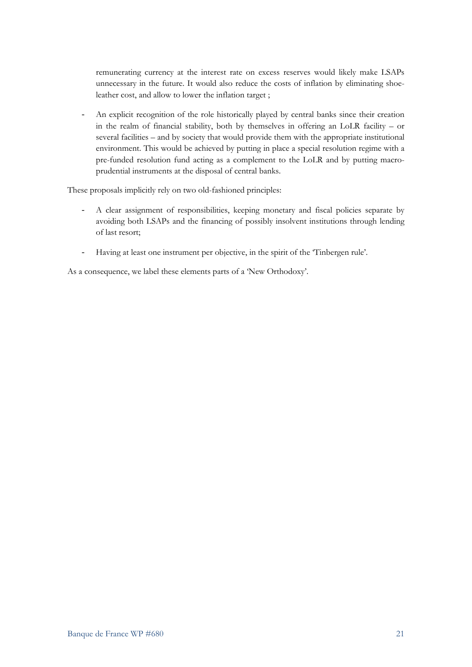remunerating currency at the interest rate on excess reserves would likely make LSAPs unnecessary in the future. It would also reduce the costs of inflation by eliminating shoeleather cost, and allow to lower the inflation target ;

An explicit recognition of the role historically played by central banks since their creation in the realm of financial stability, both by themselves in offering an LoLR facility – or several facilities – and by society that would provide them with the appropriate institutional environment. This would be achieved by putting in place a special resolution regime with a pre-funded resolution fund acting as a complement to the LoLR and by putting macroprudential instruments at the disposal of central banks.

These proposals implicitly rely on two old-fashioned principles:

- A clear assignment of responsibilities, keeping monetary and fiscal policies separate by avoiding both LSAPs and the financing of possibly insolvent institutions through lending of last resort;
- Having at least one instrument per objective, in the spirit of the 'Tinbergen rule'.

As a consequence, we label these elements parts of a 'New Orthodoxy'.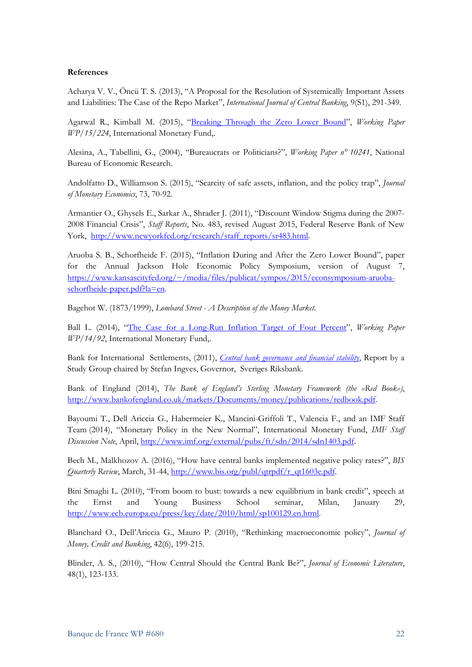#### **References**

Acharya V. V., Öncü T. S. (2013), "A Proposal for the Resolution of Systemically Important Assets and Liabilities: The Case of the Repo Market", *International Journal of Central Banking*, 9(S1), 291-349.

Agarwal R., Kimball M. (2015), ["Breaking Through the Zero Lower Bound"](http://www.imf.org/external/pubs/cat/longres.aspx?sk=43358.0), *Working Paper WP/15/224*, International Monetary Fund,.

Alesina, A., Tabellini, G., (2004), "Bureaucrats or Politicians?", *Working Paper n° 10241*, National Bureau of Economic Research.

Andolfatto D., Williamson S. (2015), "Scarcity of safe assets, inflation, and the policy trap", *Journal of Monetary Economics*, 73, 70-92.

Armantier O., Ghysels E., Sarkar A., Shrader J. (2011), "Discount Window Stigma during the 2007- 2008 Financial Crisis", *Staff Reports*, No. 483, revised August 2015, Federal Reserve Bank of New York, [http://www.newyorkfed.org/research/staff\\_reports/sr483.html.](http://www.newyorkfed.org/research/staff_reports/sr483.html)

Aruoba S. B., Schorfheide F. (2015), "Inflation During and After the Zero Lower Bound", paper for the Annual Jackson Hole Economic Policy Symposium, version of August 7, [https://www.kansascityfed.org/~/media/files/publicat/sympos/2015/econsymposium-aruoba](https://www.kansascityfed.org/%7E/media/files/publicat/sympos/2015/econsymposium-aruoba-schorfheide-paper.pdf?la=en)[schorfheide-paper.pdf?la=en.](https://www.kansascityfed.org/%7E/media/files/publicat/sympos/2015/econsymposium-aruoba-schorfheide-paper.pdf?la=en)

Bagehot W. (1873/1999), *Lombard Street - A Description of the Money Market*.

Ball L. (2014), ["The Case for a Long-Run Inflation Target of Four Percent"](http://www.imf.org/external/pubs/cat/longres.aspx?sk=41625.0), *Working Paper WP/14/92*, International Monetary Fund,.

Bank for International Settlements, (2011), *[Central bank governance and financial stability](http://www.bis.org/publ/othp14.pdf)*, Report by a Study Group chaired by Stefan Ingves, Governor, Sveriges Riksbank.

Bank of England (2014), *The Bank of England's Sterling Monetary Framework (the «Red Book»)*, [http://www.bankofengland.co.uk/markets/Documents/money/publications/redbook.pdf.](http://www.bankofengland.co.uk/markets/Documents/money/publications/redbook.pdf)

Bayoumi T., Dell Ariccia G., Habermeier K., Mancini-Griffoli T., Valencia F., and an IMF Staff Team (2014), "Monetary Policy in the New Normal", International Monetary Fund, *IMF Staff Discussion Note*, April, [http://www.imf.org/external/pubs/ft/sdn/2014/sdn1403.pdf.](http://www.imf.org/external/pubs/ft/sdn/2014/sdn1403.pdf)

Bech M., Malkhozov A. (2016), "How have central banks implemented negative policy rates?", *BIS Quarterly Review*, March, 31-44[, http://www.bis.org/publ/qtrpdf/r\\_qt1603e.pdf.](http://www.bis.org/publ/qtrpdf/r_qt1603e.pdf)

Bini Smaghi L. (2010), "From boom to bust: towards a new equilibrium in bank credit", speech at the Ernst and Young Business School seminar, Milan, January 29, [http://www.ecb.europa.eu/press/key/date/2010/html/sp100129.en.html.](http://www.ecb.europa.eu/press/key/date/2010/html/sp100129.en.html)

Blanchard O., Dell'Ariccia G., Mauro P. (2010), "Rethinking macroeconomic policy", *Journal of Money, Credit and Banking*, 42(6), 199-215.

Blinder, A. S., (2010), "How Central Should the Central Bank Be?", *Journal of Economic Literature*, 48(1), 123-133.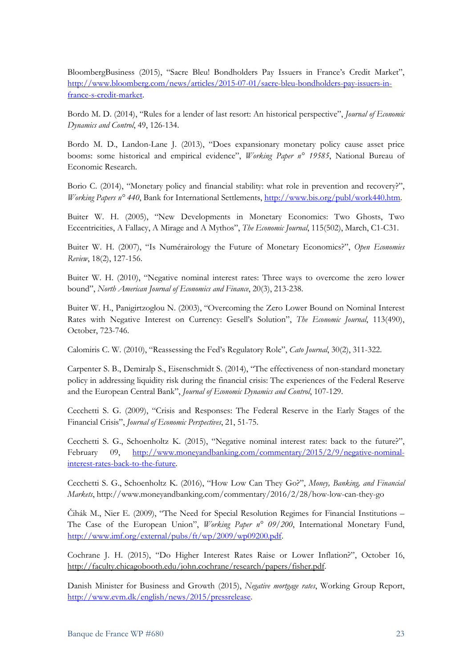BloombergBusiness (2015), "Sacre Bleu! Bondholders Pay Issuers in France's Credit Market", [http://www.bloomberg.com/news/articles/2015-07-01/sacre-bleu-bondholders-pay-issuers-in](http://www.bloomberg.com/news/articles/2015-07-01/sacre-bleu-bondholders-pay-issuers-in-france-s-credit-market)[france-s-credit-market.](http://www.bloomberg.com/news/articles/2015-07-01/sacre-bleu-bondholders-pay-issuers-in-france-s-credit-market)

Bordo M. D. (2014), "Rules for a lender of last resort: An historical perspective", *Journal of Economic Dynamics and Control*, 49, 126-134.

Bordo M. D., Landon-Lane J. (2013), "Does expansionary monetary policy cause asset price booms: some historical and empirical evidence", *Working Paper n° 19585*, National Bureau of Economic Research.

Borio C. (2014), "Monetary policy and financial stability: what role in prevention and recovery?", *Working Papers n° 440*, Bank for International Settlements, [http://www.bis.org/publ/work440.htm.](http://www.bis.org/publ/work440.htm)

Buiter W. H. (2005), "New Developments in Monetary Economics: Two Ghosts, Two Eccentricities, A Fallacy, A Mirage and A Mythos", *The Economic Journal*, 115(502), March, C1-C31.

Buiter W. H. (2007), "Is Numérairology the Future of Monetary Economics?", *Open Economies Review*, 18(2), 127-156.

Buiter W. H. (2010), "Negative nominal interest rates: Three ways to overcome the zero lower bound", *North American Journal of Economics and Finance*, 20(3), 213-238.

Buiter W. H., Panigirtzoglou N. (2003), "Overcoming the Zero Lower Bound on Nominal Interest Rates with Negative Interest on Currency: Gesell's Solution", *The Economic Journal*, 113(490), October, 723-746.

Calomiris C. W. (2010), "Reassessing the Fed's Regulatory Role", *Cato Journal*, 30(2), 311-322.

Carpenter S. B., Demiralp S., Eisenschmidt S. (2014), "The effectiveness of non-standard monetary policy in addressing liquidity risk during the financial crisis: The experiences of the Federal Reserve and the European Central Bank", *Journal of Economic Dynamics and Control*, 107-129.

Cecchetti S. G. (2009), "Crisis and Responses: The Federal Reserve in the Early Stages of the Financial Crisis", *Journal of Economic Perspectives*, 21, 51-75.

Cecchetti S. G., Schoenholtz K. (2015), "Negative nominal interest rates: back to the future?", February 09, [http://www.moneyandbanking.com/commentary/2015/2/9/negative-nominal](http://www.moneyandbanking.com/commentary/2015/2/9/negative-nominal-interest-rates-back-to-the-future)[interest-rates-back-to-the-future.](http://www.moneyandbanking.com/commentary/2015/2/9/negative-nominal-interest-rates-back-to-the-future)

Cecchetti S. G., Schoenholtz K. (2016), "How Low Can They Go?", *Money, Banking, and Financial Markets*, http://www.moneyandbanking.com/commentary/2016/2/28/how-low-can-they-go

Čihák M., Nier E. (2009), "The Need for Special Resolution Regimes for Financial Institutions – The Case of the European Union", *Working Paper n° 09/200*, International Monetary Fund, [http://www.imf.org/external/pubs/ft/wp/2009/wp09200.pdf.](http://www.imf.org/external/pubs/ft/wp/2009/wp09200.pdf)

Cochrane J. H. (2015), "Do Higher Interest Rates Raise or Lower Inflation?", October 16, http://faculty.chicagobooth.edu/john.cochrane/research/papers/fisher.pdf.

Danish Minister for Business and Growth (2015), *Negative mortgage rates*, Working Group Report, [http://www.evm.dk/english/news/2015/pressrelease.](http://www.evm.dk/english/news/2015/pressrelease)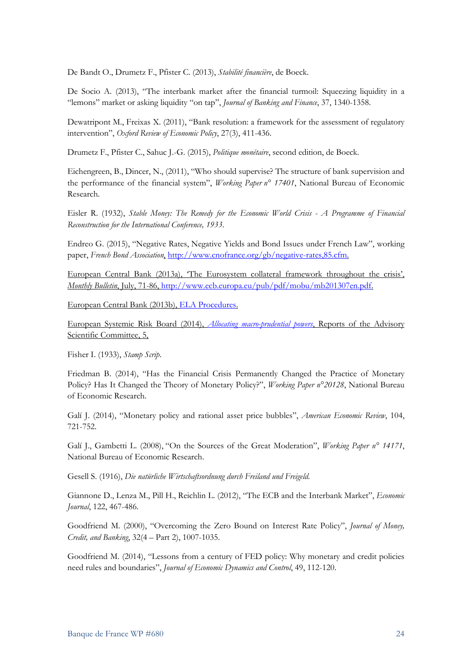De Bandt O., Drumetz F., Pfister C. (2013), *Stabilité financière*, de Boeck.

De Socio A. (2013), "The interbank market after the financial turmoil: Squeezing liquidity in a "lemons" market or asking liquidity "on tap", *Journal of Banking and Finance*, 37, 1340-1358.

Dewatripont M., Freixas X. (2011), "Bank resolution: a framework for the assessment of regulatory intervention", *Oxford Review of Economic Policy*, 27(3), 411-436.

Drumetz F., Pfister C., Sahuc J.-G. (2015), *Politique monétaire*, second edition, de Boeck.

Eichengreen, B., Dincer, N., (2011), "Who should supervise? The structure of bank supervision and the performance of the financial system", *Working Paper n° 17401*, National Bureau of Economic Research.

Eisler R. (1932), *Stable Money: The Remedy for the Economic World Crisis - A Programme of Financial Reconstruction for the International Conference, 1933*.

Endreo G. (2015), "Negative Rates, Negative Yields and Bond Issues under French Law", working paper, *French Bond Association*, [http://www.cnofrance.org/gb/negative-rates,85.cfm.](http://www.cnofrance.org/gb/negative-rates,85.cfm)

European Central Bank (2013a), 'The Eurosystem collateral framework throughout the crisis', *Monthly Bulletin*, July, 71-86, [http://www.ecb.europa.eu/pub/pdf/mobu/mb201307en.pdf.](http://www.ecb.europa.eu/pub/pdf/mobu/mb201307en.pdf)

European Central Bank (2013b), [ELA Procedures.](https://www.ecb.europa.eu/pub/pdf/other/201402_elaprocedures.en.pdf?e716d1d560392b10142724f50c6bf66a)

European Systemic Risk Board (2014), *[Allocating macro-prudential powers](https://www.esrb.europa.eu/pub/pdf/asc/Reports_ASC_5_1411.pdf?8b6a27cb7680345032bee859fd09d4ea.)*, Reports of the Advisory Scientific Committee, 5,

Fisher I. (1933), *Stamp Scrip*.

Friedman B. (2014), "Has the Financial Crisis Permanently Changed the Practice of Monetary Policy? Has It Changed the Theory of Monetary Policy?", *Working Paper n°20128*, National Bureau of Economic Research.

Galí J. (2014), "Monetary policy and rational asset price bubbles", *American Economic Review*, 104, 721-752.

Galí J., Gambetti L. (2008), "On the Sources of the Great Moderation", *Working Paper n° 14171*, National Bureau of Economic Research.

Gesell S. (1916), *Die natürliche Wirtschaftsordnung durch Freiland und Freigeld*.

Giannone D., Lenza M., Pill H., Reichlin L. (2012), "The ECB and the Interbank Market", *Economic Journal*, 122, 467-486.

Goodfriend M. (2000), "Overcoming the Zero Bound on Interest Rate Policy", *Journal of Money, Credit, and Banking*, 32(4 – Part 2), 1007-1035.

Goodfriend M. (2014), "Lessons from a century of FED policy: Why monetary and credit policies need rules and boundaries", *Journal of Economic Dynamics and Control*, 49, 112-120.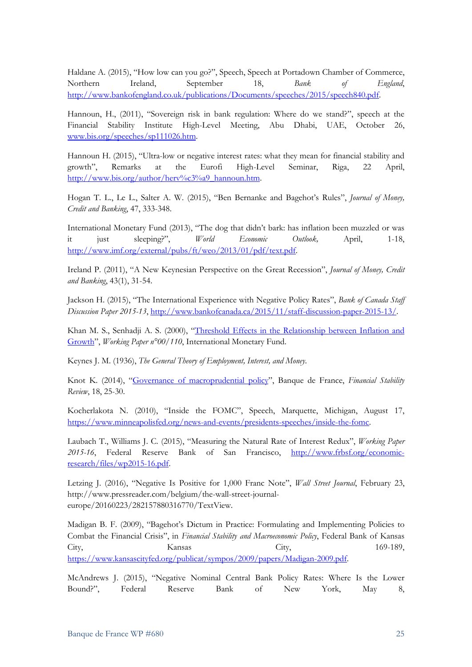Haldane A. (2015), "How low can you go?", Speech, Speech at Portadown Chamber of Commerce, Northern Ireland, September 18, *Bank of England*, [http://www.bankofengland.co.uk/publications/Documents/speeches/2015/speech840.pdf.](http://www.bankofengland.co.uk/publications/Documents/speeches/2015/speech840.pdf)

Hannoun, H., (2011), "Sovereign risk in bank regulation: Where do we stand?", speech at the Financial Stability Institute High-Level Meeting, Abu Dhabi, UAE, October 26, [www.bis.org/speeches/sp111026.htm.](http://www.bis.org/speeches/sp111026.htm)

Hannoun H. (2015), "Ultra-low or negative interest rates: what they mean for financial stability and growth", Remarks at the Eurofi High-Level Seminar, Riga, 22 April, [http://www.bis.org/author/herv%c3%a9\\_hannoun.htm.](http://www.bis.org/author/herv%c3%a9_hannoun.htm)

Hogan T. L., Le L., Salter A. W. (2015), "Ben Bernanke and Bagehot's Rules", *Journal of Money, Credit and Banking*, 47, 333-348.

International Monetary Fund (2013), "The dog that didn't bark: has inflation been muzzled or was it just sleeping?", *World Economic Outlook,* April, 1-18, [http://www.imf.org/external/pubs/ft/weo/2013/01/pdf/text.pdf.](http://www.imf.org/external/pubs/ft/weo/2013/01/pdf/text.pdf)

Ireland P. (2011), "A New Keynesian Perspective on the Great Recession", *Journal of Money, Credit and Banking*, 43(1), 31-54.

Jackson H. (2015), "The International Experience with Negative Policy Rates", *Bank of Canada Staff Discussion Paper 2015-13*, [http://www.bankofcanada.ca/2015/11/staff-discussion-paper-2015-13/.](http://www.bankofcanada.ca/2015/11/staff-discussion-paper-2015-13/)

Khan M. S., Senhadji A. S. (2000), ["Threshold Effects in the Relationship between Inflation and](http://www.imf.org/external/pubs/ft/wp/2000/wp00110.pdf)  [Growth"](http://www.imf.org/external/pubs/ft/wp/2000/wp00110.pdf), *Working Paper n°00/110*, International Monetary Fund.

Keynes J. M. (1936), *The General Theory of Employment, Interest, and Money*.

Knot K. (2014), ["Governance of macroprudential policy"](https://www.banque-france.fr/fileadmin/user_upload/banque_de_france/publications/FSR-2014-18-integral.pdf), Banque de France, *Financial Stability Review*, 18, 25-30.

Kocherlakota N. (2010), "Inside the FOMC", Speech, Marquette, Michigan, August 17, [https://www.minneapolisfed.org/news-and-events/presidents-speeches/inside-the-fomc.](https://www.minneapolisfed.org/news-and-events/presidents-speeches/inside-the-fomc)

Laubach T., Williams J. C. (2015), "Measuring the Natural Rate of Interest Redux", *Working Paper 2015-16*, Federal Reserve Bank of San Francisco, [http://www.frbsf.org/economic](http://www.frbsf.org/economic-research/files/wp2015-16.pdf)[research/files/wp2015-16.pdf.](http://www.frbsf.org/economic-research/files/wp2015-16.pdf)

Letzing J. (2016), "Negative Is Positive for 1,000 Franc Note", *Wall Street Journal*, February 23, http://www.pressreader.com/belgium/the-wall-street-journaleurope/20160223/282157880316770/TextView.

Madigan B. F. (2009), "Bagehot's Dictum in Practice: Formulating and Implementing Policies to Combat the Financial Crisis", in *Financial Stability and Macroeconomic Policy*, Federal Bank of Kansas City, City, 169-189, [https://www.kansascityfed.org/publicat/sympos/2009/papers/Madigan-2009.pdf.](https://www.kansascityfed.org/publicat/sympos/2009/papers/Madigan-2009.pdf)

McAndrews J. (2015), "Negative Nominal Central Bank Policy Rates: Where Is the Lower Bound?", Federal Reserve Bank of New York, May 8,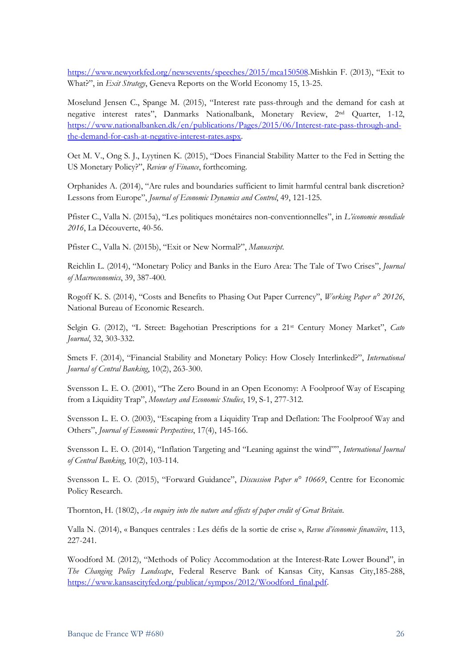[https://www.newyorkfed.org/newsevents/speeches/2015/mca150508.](https://www.newyorkfed.org/newsevents/speeches/2015/mca150508)Mishkin F. (2013), "Exit to What?", in *Exit Strategy*, Geneva Reports on the World Economy 15, 13-25.

Moselund Jensen C., Spange M. (2015), "Interest rate pass-through and the demand for cash at negative interest rates", Danmarks Nationalbank, Monetary Review, 2nd Quarter, 1-12, [https://www.nationalbanken.dk/en/publications/Pages/2015/06/Interest-rate-pass-through-and](https://www.nationalbanken.dk/en/publications/Pages/2015/06/Interest-rate-pass-through-and-the-demand-for-cash-at-negative-interest-rates.aspx)[the-demand-for-cash-at-negative-interest-rates.aspx.](https://www.nationalbanken.dk/en/publications/Pages/2015/06/Interest-rate-pass-through-and-the-demand-for-cash-at-negative-interest-rates.aspx)

Oet M. V., Ong S. J., Lyytinen K. (2015), "Does Financial Stability Matter to the Fed in Setting the US Monetary Policy?", *Review of Finance*, forthcoming.

Orphanides A. (2014), "Are rules and boundaries sufficient to limit harmful central bank discretion? Lessons from Europe", *Journal of Economic Dynamics and Control*, 49, 121-125.

Pfister C., Valla N. (2015a), "Les politiques monétaires non-conventionnelles", in *L'économie mondiale 2016*, La Découverte, 40-56.

Pfister C., Valla N. (2015b), "Exit or New Normal?", *Manuscript*.

Reichlin L. (2014), "Monetary Policy and Banks in the Euro Area: The Tale of Two Crises", *Journal of Macroeconomics*, 39, 387-400.

Rogoff K. S. (2014), "Costs and Benefits to Phasing Out Paper Currency", *Working Paper n° 20126*, National Bureau of Economic Research.

Selgin G. (2012), "L Street: Bagehotian Prescriptions for a 21st Century Money Market", *Cato Journal*, 32, 303-332.

Smets F. (2014), "Financial Stability and Monetary Policy: How Closely Interlinked?", *International Journal of Central Banking*, 10(2), 263-300.

Svensson L. E. O. (2001), "The Zero Bound in an Open Economy: A Foolproof Way of Escaping from a Liquidity Trap", *Monetary and Economic Studies*, 19, S-1, 277-312.

Svensson L. E. O. (2003), "Escaping from a Liquidity Trap and Deflation: The Foolproof Way and Others", *Journal of Economic Perspectives*, 17(4), 145-166.

Svensson L. E. O. (2014), "Inflation Targeting and "Leaning against the wind"", *International Journal of Central Banking*, 10(2), 103-114.

Svensson L. E. O. (2015), "Forward Guidance", *Discussion Paper n° 10669*, Centre for Economic Policy Research.

Thornton, H. (1802), *An enquiry into the nature and effects of paper credit of Great Britain*.

Valla N. (2014), « Banques centrales : Les défis de la sortie de crise », *Revue d'économie financière*, 113, 227-241.

Woodford M. (2012), "Methods of Policy Accommodation at the Interest-Rate Lower Bound", in *The Changing Policy Landscape*, Federal Reserve Bank of Kansas City, Kansas City,185-288, [https://www.kansascityfed.org/publicat/sympos/2012/Woodford\\_final.pdf.](https://www.kansascityfed.org/publicat/sympos/2012/Woodford_final.pdf)